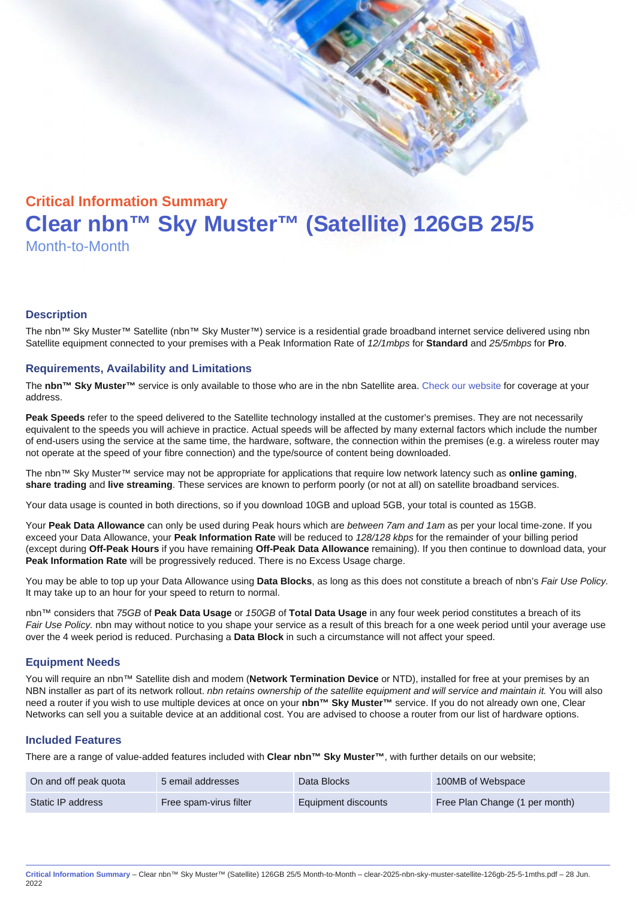# Critical Information Summary Clear nbn™ Sky Muster™ (Satellite) 126GB 25/5 Month-to-Month

#### **Description**

The nbn™ Sky Muster™ Satellite (nbn™ Sky Muster™) service is a residential grade broadband internet service delivered using nbn Satellite equipment connected to your premises with a Peak Information Rate of 12/1mbps for Standard and 25/5mbps for Pro.

#### Requirements, Availability and Limitations

The nbn™ Sky Muster™ service is only available to those who are in the nbn Satellite area. [Check our website](https://www.clear.com.au/residential/nbn-sky-muster/availability-coverage/) for coverage at your address.

Peak Speeds refer to the speed delivered to the Satellite technology installed at the customer's premises. They are not necessarily equivalent to the speeds you will achieve in practice. Actual speeds will be affected by many external factors which include the number of end-users using the service at the same time, the hardware, software, the connection within the premises (e.g. a wireless router may not operate at the speed of your fibre connection) and the type/source of content being downloaded.

The nbn™ Sky Muster™ service may not be appropriate for applications that require low network latency such as online gaming , share trading and live streaming . These services are known to perform poorly (or not at all) on satellite broadband services.

Your data usage is counted in both directions, so if you download 10GB and upload 5GB, your total is counted as 15GB.

Your Peak Data Allowance can only be used during Peak hours which are between 7am and 1am as per your local time-zone. If you exceed your Data Allowance, your Peak Information Rate will be reduced to 128/128 kbps for the remainder of your billing period (except during Off-Peak Hours if you have remaining Off-Peak Data Allowance remaining). If you then continue to download data, your Peak Information Rate will be progressively reduced. There is no Excess Usage charge.

You may be able to top up your Data Allowance using Data Blocks , as long as this does not constitute a breach of nbn's Fair Use Policy. It may take up to an hour for your speed to return to normal.

nbn™ considers that 75GB of Peak Data Usage or 150GB of Total Data Usage in any four week period constitutes a breach of its Fair Use Policy. nbn may without notice to you shape your service as a result of this breach for a one week period until your average use over the 4 week period is reduced. Purchasing a Data Block in such a circumstance will not affect your speed.

#### Equipment Needs

You will require an nbn™ Satellite dish and modem (Network Termination Device or NTD), installed for free at your premises by an NBN installer as part of its network rollout. nbn retains ownership of the satellite equipment and will service and maintain it. You will also need a router if you wish to use multiple devices at once on your nbn™ Sky Muster™ service. If you do not already own one, Clear Networks can sell you a suitable device at an additional cost. You are advised to choose a router from our list of hardware options.

#### Included Features

There are a range of value-added features included with Clear nbn™ Sky Muster™ , with further details on our website;

| On and off peak quota | 5 email addresses      | Data Blocks         | 100MB of Webspace              |
|-----------------------|------------------------|---------------------|--------------------------------|
| Static IP address     | Free spam-virus filter | Equipment discounts | Free Plan Change (1 per month) |